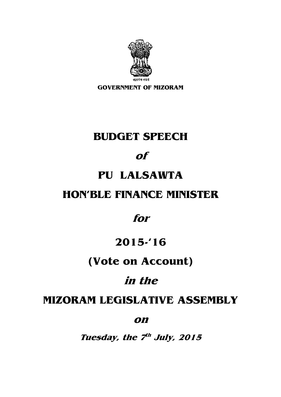

**GOVERNMENT OF MIZORAM** 

# **BUDGET SPEECH**

#### **of**

#### **PU LALSAWTA**

#### **HON'BLE FINANCE MINISTER**

#### **for**

#### **2015-'16**

### **(Vote on Account)**

## **in the**

### **MIZORAM LEGISLATIVE ASSEMBLY**

#### **on**

**Tuesday, the 7 th July, 2015**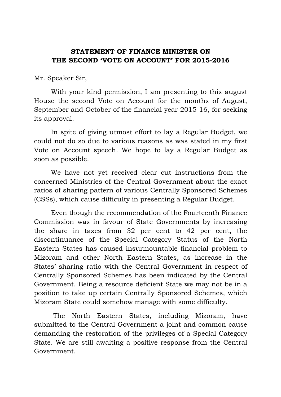#### **STATEMENT OF FINANCE MINISTER ON THE SECOND 'VOTE ON ACCOUNT' FOR 2015-2016**

Mr. Speaker Sir,

 With your kind permission, I am presenting to this august House the second Vote on Account for the months of August, September and October of the financial year 2015-16, for seeking its approval.

 In spite of giving utmost effort to lay a Regular Budget, we could not do so due to various reasons as was stated in my first Vote on Account speech. We hope to lay a Regular Budget as soon as possible.

We have not yet received clear cut instructions from the concerned Ministries of the Central Government about the exact ratios of sharing pattern of various Centrally Sponsored Schemes (CSSs), which cause difficulty in presenting a Regular Budget.

Even though the recommendation of the Fourteenth Finance Commission was in favour of State Governments by increasing the share in taxes from 32 per cent to 42 per cent, the discontinuance of the Special Category Status of the North Eastern States has caused insurmountable financial problem to Mizoram and other North Eastern States, as increase in the States' sharing ratio with the Central Government in respect of Centrally Sponsored Schemes has been indicated by the Central Government. Being a resource deficient State we may not be in a position to take up certain Centrally Sponsored Schemes, which Mizoram State could somehow manage with some difficulty.

 The North Eastern States, including Mizoram, have submitted to the Central Government a joint and common cause demanding the restoration of the privileges of a Special Category State. We are still awaiting a positive response from the Central Government.